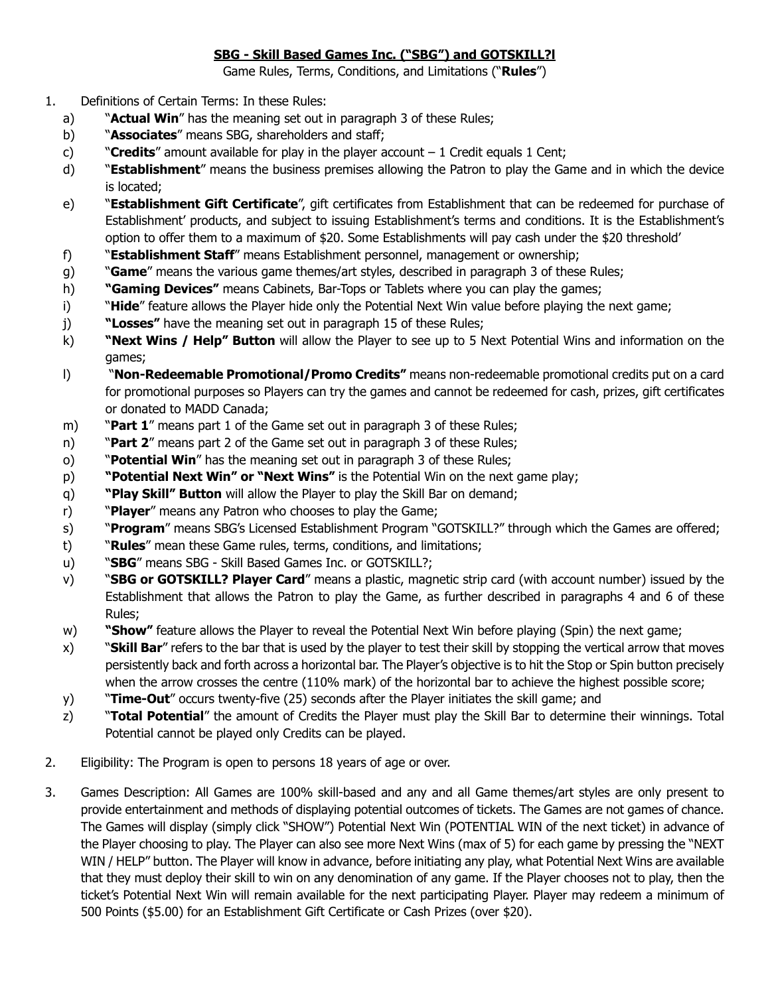## **SBG - Skill Based Games Inc. ("SBG") and GOTSKILL?l**

Game Rules, Terms, Conditions, and Limitations ("**Rules**")

- 1. Definitions of Certain Terms: In these Rules:
	- a) **"Actual Win**" has the meaning set out in paragraph 3 of these Rules;
	- b) "**Associates**" means SBG, shareholders and staff;
	- c) "**Credits**" amount available for play in the player account 1 Credit equals 1 Cent;
	- d) "**Establishment**" means the business premises allowing the Patron to play the Game and in which the device is located;
	- e) "**Establishment Gift Certificate**", gift certificates from Establishment that can be redeemed for purchase of Establishment' products, and subject to issuing Establishment's terms and conditions. It is the Establishment's option to offer them to a maximum of \$20. Some Establishments will pay cash under the \$20 threshold'
	- f) "**Establishment Staff**" means Establishment personnel, management or ownership;
	- g) "**Game**" means the various game themes/art styles, described in paragraph 3 of these Rules;
	- h) **"Gaming Devices"** means Cabinets, Bar-Tops or Tablets where you can play the games;
	- i) "**Hide**" feature allows the Player hide only the Potential Next Win value before playing the next game;
	- j) **"Losses"** have the meaning set out in paragraph 15 of these Rules;
	- k) **"Next Wins / Help" Button** will allow the Player to see up to 5 Next Potential Wins and information on the games;
	- l) "**Non-Redeemable Promotional/Promo Credits"** means non-redeemable promotional credits put on a card for promotional purposes so Players can try the games and cannot be redeemed for cash, prizes, gift certificates or donated to MADD Canada;
	- m) "**Part 1**" means part 1 of the Game set out in paragraph 3 of these Rules;
	- n) "**Part 2**" means part 2 of the Game set out in paragraph 3 of these Rules;
	- o) "**Potential Win**" has the meaning set out in paragraph 3 of these Rules;
	- p) **"Potential Next Win" or "Next Wins"** is the Potential Win on the next game play;
	- q) **"Play Skill" Button** will allow the Player to play the Skill Bar on demand;
	- r) "**Player**" means any Patron who chooses to play the Game;
	- s) "**Program**" means SBG's Licensed Establishment Program "GOTSKILL?" through which the Games are offered;
	- t) "**Rules**" mean these Game rules, terms, conditions, and limitations;
	- u) "**SBG**" means SBG Skill Based Games Inc. or GOTSKILL?;
	- v) "**SBG or GOTSKILL? Player Card**" means a plastic, magnetic strip card (with account number) issued by the Establishment that allows the Patron to play the Game, as further described in paragraphs 4 and 6 of these Rules;
	- w) **"Show"** feature allows the Player to reveal the Potential Next Win before playing (Spin) the next game;
	- x) "**Skill Bar**" refers to the bar that is used by the player to test their skill by stopping the vertical arrow that moves persistently back and forth across a horizontal bar. The Player's objective is to hit the Stop or Spin button precisely when the arrow crosses the centre (110% mark) of the horizontal bar to achieve the highest possible score;
	- y) "**Time-Out**" occurs twenty-five (25) seconds after the Player initiates the skill game; and
	- z) "**Total Potential**" the amount of Credits the Player must play the Skill Bar to determine their winnings. Total Potential cannot be played only Credits can be played.
- 2. Eligibility: The Program is open to persons 18 years of age or over.
- 3. Games Description: All Games are 100% skill-based and any and all Game themes/art styles are only present to provide entertainment and methods of displaying potential outcomes of tickets. The Games are not games of chance. The Games will display (simply click "SHOW") Potential Next Win (POTENTIAL WIN of the next ticket) in advance of the Player choosing to play. The Player can also see more Next Wins (max of 5) for each game by pressing the "NEXT WIN / HELP" button. The Player will know in advance, before initiating any play, what Potential Next Wins are available that they must deploy their skill to win on any denomination of any game. If the Player chooses not to play, then the ticket's Potential Next Win will remain available for the next participating Player. Player may redeem a minimum of 500 Points (\$5.00) for an Establishment Gift Certificate or Cash Prizes (over \$20).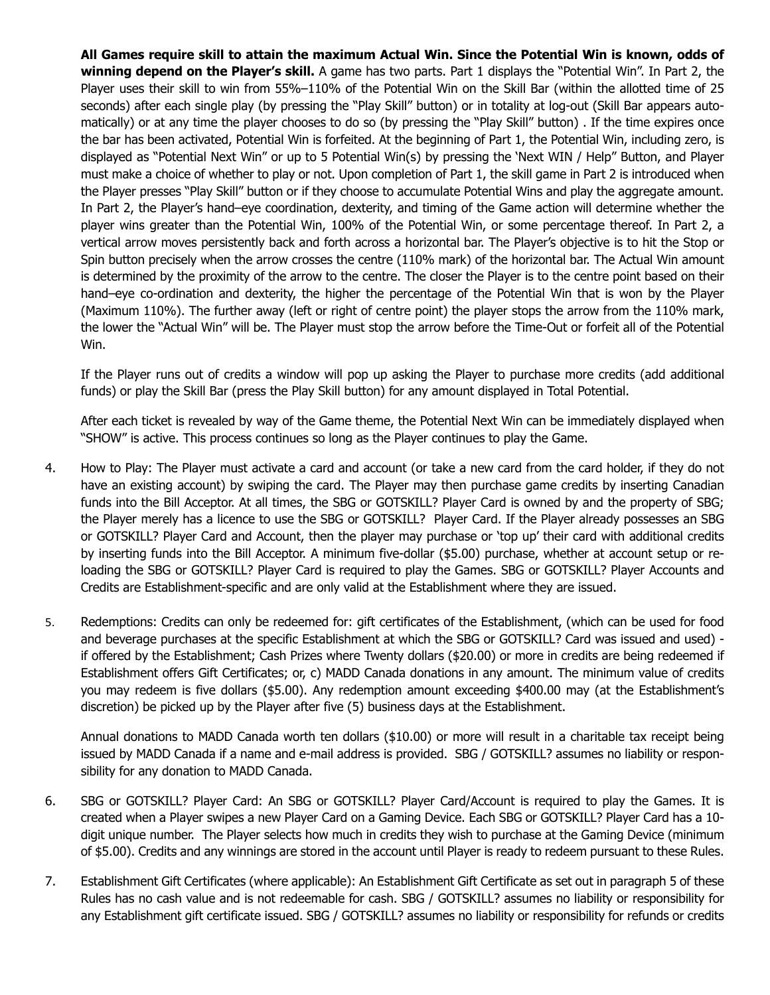**All Games require skill to attain the maximum Actual Win. Since the Potential Win is known, odds of winning depend on the Player's skill.** A game has two parts. Part 1 displays the "Potential Win". In Part 2, the Player uses their skill to win from 55%–110% of the Potential Win on the Skill Bar (within the allotted time of 25 seconds) after each single play (by pressing the "Play Skill" button) or in totality at log-out (Skill Bar appears automatically) or at any time the player chooses to do so (by pressing the "Play Skill" button) . If the time expires once the bar has been activated, Potential Win is forfeited. At the beginning of Part 1, the Potential Win, including zero, is displayed as "Potential Next Win" or up to 5 Potential Win(s) by pressing the 'Next WIN / Help" Button, and Player must make a choice of whether to play or not. Upon completion of Part 1, the skill game in Part 2 is introduced when the Player presses "Play Skill" button or if they choose to accumulate Potential Wins and play the aggregate amount. In Part 2, the Player's hand–eye coordination, dexterity, and timing of the Game action will determine whether the player wins greater than the Potential Win, 100% of the Potential Win, or some percentage thereof. In Part 2, a vertical arrow moves persistently back and forth across a horizontal bar. The Player's objective is to hit the Stop or Spin button precisely when the arrow crosses the centre (110% mark) of the horizontal bar. The Actual Win amount is determined by the proximity of the arrow to the centre. The closer the Player is to the centre point based on their hand–eye co-ordination and dexterity, the higher the percentage of the Potential Win that is won by the Player (Maximum 110%). The further away (left or right of centre point) the player stops the arrow from the 110% mark, the lower the "Actual Win" will be. The Player must stop the arrow before the Time-Out or forfeit all of the Potential Win.

If the Player runs out of credits a window will pop up asking the Player to purchase more credits (add additional funds) or play the Skill Bar (press the Play Skill button) for any amount displayed in Total Potential.

After each ticket is revealed by way of the Game theme, the Potential Next Win can be immediately displayed when "SHOW" is active. This process continues so long as the Player continues to play the Game.

- 4. How to Play: The Player must activate a card and account (or take a new card from the card holder, if they do not have an existing account) by swiping the card. The Player may then purchase game credits by inserting Canadian funds into the Bill Acceptor. At all times, the SBG or GOTSKILL? Player Card is owned by and the property of SBG; the Player merely has a licence to use the SBG or GOTSKILL? Player Card. If the Player already possesses an SBG or GOTSKILL? Player Card and Account, then the player may purchase or 'top up' their card with additional credits by inserting funds into the Bill Acceptor. A minimum five-dollar (\$5.00) purchase, whether at account setup or reloading the SBG or GOTSKILL? Player Card is required to play the Games. SBG or GOTSKILL? Player Accounts and Credits are Establishment-specific and are only valid at the Establishment where they are issued.
- 5. Redemptions: Credits can only be redeemed for: gift certificates of the Establishment, (which can be used for food and beverage purchases at the specific Establishment at which the SBG or GOTSKILL? Card was issued and used) if offered by the Establishment; Cash Prizes where Twenty dollars (\$20.00) or more in credits are being redeemed if Establishment offers Gift Certificates; or, c) MADD Canada donations in any amount. The minimum value of credits you may redeem is five dollars (\$5.00). Any redemption amount exceeding \$400.00 may (at the Establishment's discretion) be picked up by the Player after five (5) business days at the Establishment.

Annual donations to MADD Canada worth ten dollars (\$10.00) or more will result in a charitable tax receipt being issued by MADD Canada if a name and e-mail address is provided. SBG / GOTSKILL? assumes no liability or responsibility for any donation to MADD Canada.

- 6. SBG or GOTSKILL? Player Card: An SBG or GOTSKILL? Player Card/Account is required to play the Games. It is created when a Player swipes a new Player Card on a Gaming Device. Each SBG or GOTSKILL? Player Card has a 10 digit unique number. The Player selects how much in credits they wish to purchase at the Gaming Device (minimum of \$5.00). Credits and any winnings are stored in the account until Player is ready to redeem pursuant to these Rules.
- 7. Establishment Gift Certificates (where applicable): An Establishment Gift Certificate as set out in paragraph 5 of these Rules has no cash value and is not redeemable for cash. SBG / GOTSKILL? assumes no liability or responsibility for any Establishment gift certificate issued. SBG / GOTSKILL? assumes no liability or responsibility for refunds or credits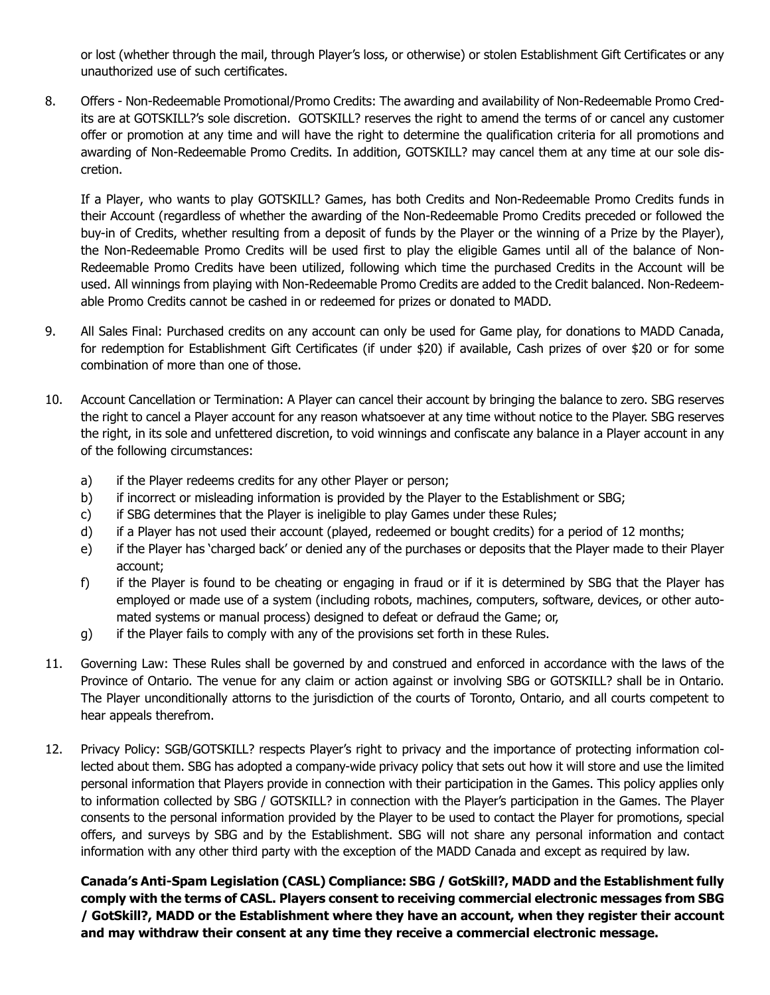or lost (whether through the mail, through Player's loss, or otherwise) or stolen Establishment Gift Certificates or any unauthorized use of such certificates.

8. Offers - Non-Redeemable Promotional/Promo Credits: The awarding and availability of Non-Redeemable Promo Credits are at GOTSKILL?'s sole discretion. GOTSKILL? reserves the right to amend the terms of or cancel any customer offer or promotion at any time and will have the right to determine the qualification criteria for all promotions and awarding of Non-Redeemable Promo Credits. In addition, GOTSKILL? may cancel them at any time at our sole discretion.

If a Player, who wants to play GOTSKILL? Games, has both Credits and Non-Redeemable Promo Credits funds in their Account (regardless of whether the awarding of the Non-Redeemable Promo Credits preceded or followed the buy-in of Credits, whether resulting from a deposit of funds by the Player or the winning of a Prize by the Player), the Non-Redeemable Promo Credits will be used first to play the eligible Games until all of the balance of Non-Redeemable Promo Credits have been utilized, following which time the purchased Credits in the Account will be used. All winnings from playing with Non-Redeemable Promo Credits are added to the Credit balanced. Non-Redeemable Promo Credits cannot be cashed in or redeemed for prizes or donated to MADD.

- 9. All Sales Final: Purchased credits on any account can only be used for Game play, for donations to MADD Canada, for redemption for Establishment Gift Certificates (if under \$20) if available, Cash prizes of over \$20 or for some combination of more than one of those.
- 10. Account Cancellation or Termination: A Player can cancel their account by bringing the balance to zero. SBG reserves the right to cancel a Player account for any reason whatsoever at any time without notice to the Player. SBG reserves the right, in its sole and unfettered discretion, to void winnings and confiscate any balance in a Player account in any of the following circumstances:
	- a) if the Player redeems credits for any other Player or person;
	- b) if incorrect or misleading information is provided by the Player to the Establishment or SBG;
	- c) if SBG determines that the Player is ineligible to play Games under these Rules;
	- d) if a Player has not used their account (played, redeemed or bought credits) for a period of 12 months;
	- e) if the Player has 'charged back' or denied any of the purchases or deposits that the Player made to their Player account;
	- f) if the Player is found to be cheating or engaging in fraud or if it is determined by SBG that the Player has employed or made use of a system (including robots, machines, computers, software, devices, or other automated systems or manual process) designed to defeat or defraud the Game; or,
	- g) if the Player fails to comply with any of the provisions set forth in these Rules.
- 11. Governing Law: These Rules shall be governed by and construed and enforced in accordance with the laws of the Province of Ontario. The venue for any claim or action against or involving SBG or GOTSKILL? shall be in Ontario. The Player unconditionally attorns to the jurisdiction of the courts of Toronto, Ontario, and all courts competent to hear appeals therefrom.
- 12. Privacy Policy: SGB/GOTSKILL? respects Player's right to privacy and the importance of protecting information collected about them. SBG has adopted a company-wide privacy policy that sets out how it will store and use the limited personal information that Players provide in connection with their participation in the Games. This policy applies only to information collected by SBG / GOTSKILL? in connection with the Player's participation in the Games. The Player consents to the personal information provided by the Player to be used to contact the Player for promotions, special offers, and surveys by SBG and by the Establishment. SBG will not share any personal information and contact information with any other third party with the exception of the MADD Canada and except as required by law.

**Canada's Anti-Spam Legislation (CASL) Compliance: SBG / GotSkill?, MADD and the Establishment fully comply with the terms of CASL. Players consent to receiving commercial electronic messages from SBG / GotSkill?, MADD or the Establishment where they have an account, when they register their account and may withdraw their consent at any time they receive a commercial electronic message.**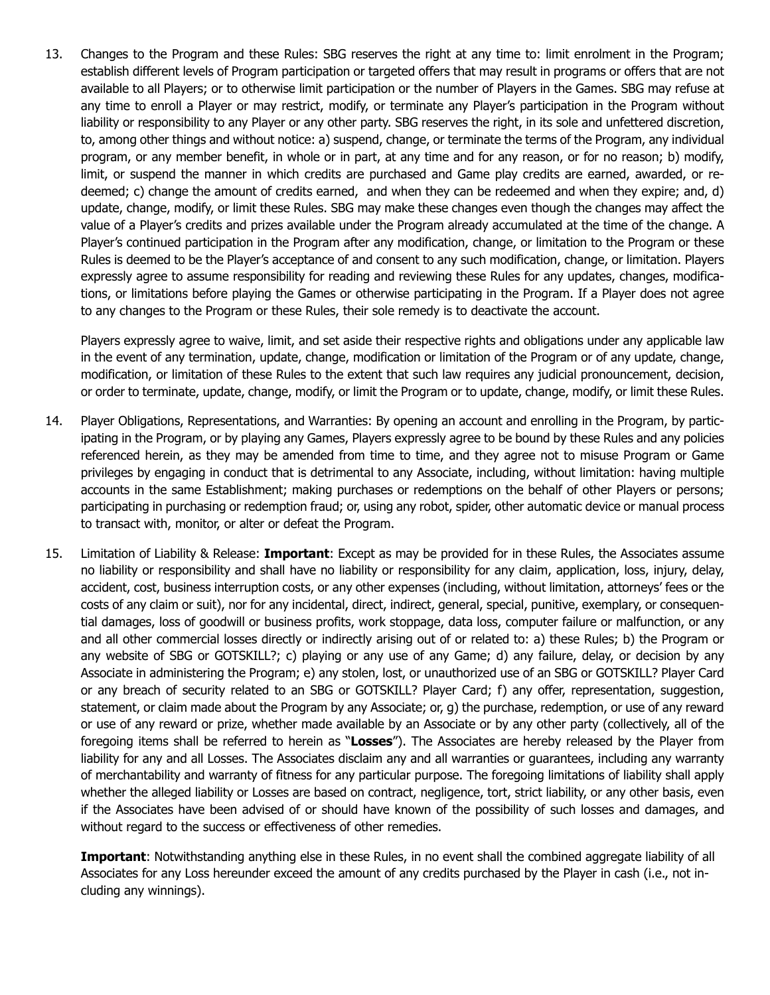13. Changes to the Program and these Rules: SBG reserves the right at any time to: limit enrolment in the Program; establish different levels of Program participation or targeted offers that may result in programs or offers that are not available to all Players; or to otherwise limit participation or the number of Players in the Games. SBG may refuse at any time to enroll a Player or may restrict, modify, or terminate any Player's participation in the Program without liability or responsibility to any Player or any other party. SBG reserves the right, in its sole and unfettered discretion, to, among other things and without notice: a) suspend, change, or terminate the terms of the Program, any individual program, or any member benefit, in whole or in part, at any time and for any reason, or for no reason; b) modify, limit, or suspend the manner in which credits are purchased and Game play credits are earned, awarded, or redeemed; c) change the amount of credits earned, and when they can be redeemed and when they expire; and, d) update, change, modify, or limit these Rules. SBG may make these changes even though the changes may affect the value of a Player's credits and prizes available under the Program already accumulated at the time of the change. A Player's continued participation in the Program after any modification, change, or limitation to the Program or these Rules is deemed to be the Player's acceptance of and consent to any such modification, change, or limitation. Players expressly agree to assume responsibility for reading and reviewing these Rules for any updates, changes, modifications, or limitations before playing the Games or otherwise participating in the Program. If a Player does not agree to any changes to the Program or these Rules, their sole remedy is to deactivate the account.

Players expressly agree to waive, limit, and set aside their respective rights and obligations under any applicable law in the event of any termination, update, change, modification or limitation of the Program or of any update, change, modification, or limitation of these Rules to the extent that such law requires any judicial pronouncement, decision, or order to terminate, update, change, modify, or limit the Program or to update, change, modify, or limit these Rules.

- 14. Player Obligations, Representations, and Warranties: By opening an account and enrolling in the Program, by participating in the Program, or by playing any Games, Players expressly agree to be bound by these Rules and any policies referenced herein, as they may be amended from time to time, and they agree not to misuse Program or Game privileges by engaging in conduct that is detrimental to any Associate, including, without limitation: having multiple accounts in the same Establishment; making purchases or redemptions on the behalf of other Players or persons; participating in purchasing or redemption fraud; or, using any robot, spider, other automatic device or manual process to transact with, monitor, or alter or defeat the Program.
- 15. Limitation of Liability & Release: **Important**: Except as may be provided for in these Rules, the Associates assume no liability or responsibility and shall have no liability or responsibility for any claim, application, loss, injury, delay, accident, cost, business interruption costs, or any other expenses (including, without limitation, attorneys' fees or the costs of any claim or suit), nor for any incidental, direct, indirect, general, special, punitive, exemplary, or consequential damages, loss of goodwill or business profits, work stoppage, data loss, computer failure or malfunction, or any and all other commercial losses directly or indirectly arising out of or related to: a) these Rules; b) the Program or any website of SBG or GOTSKILL?; c) playing or any use of any Game; d) any failure, delay, or decision by any Associate in administering the Program; e) any stolen, lost, or unauthorized use of an SBG or GOTSKILL? Player Card or any breach of security related to an SBG or GOTSKILL? Player Card; f) any offer, representation, suggestion, statement, or claim made about the Program by any Associate; or, g) the purchase, redemption, or use of any reward or use of any reward or prize, whether made available by an Associate or by any other party (collectively, all of the foregoing items shall be referred to herein as "**Losses**"). The Associates are hereby released by the Player from liability for any and all Losses. The Associates disclaim any and all warranties or guarantees, including any warranty of merchantability and warranty of fitness for any particular purpose. The foregoing limitations of liability shall apply whether the alleged liability or Losses are based on contract, negligence, tort, strict liability, or any other basis, even if the Associates have been advised of or should have known of the possibility of such losses and damages, and without regard to the success or effectiveness of other remedies.

**Important**: Notwithstanding anything else in these Rules, in no event shall the combined aggregate liability of all Associates for any Loss hereunder exceed the amount of any credits purchased by the Player in cash (i.e., not including any winnings).